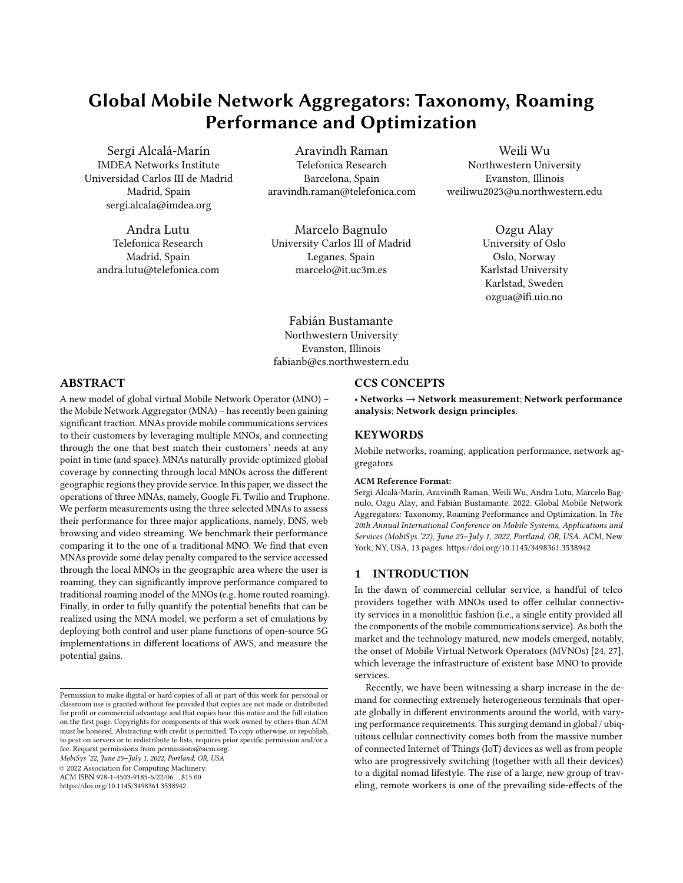# Global Mobile Network Aggregators: Taxonomy, Roaming Performance and Optimization

Sergi Alcalá-Marín IMDEA Networks Institute Universidad Carlos III de Madrid Madrid, Spain sergi.alcala@imdea.org

Andra Lutu Telefonica Research Madrid, Spain andra.lutu@telefonica.com

Aravindh Raman Telefonica Research Barcelona, Spain aravindh.raman@telefonica.com

Marcelo Bagnulo University Carlos III of Madrid Leganes, Spain marcelo@it.uc3m.es

Weili Wu Northwestern University Evanston, Illinois weiliwu2023@u.northwestern.edu

> Ozgu Alay University of Oslo Oslo, Norway Karlstad University Karlstad, Sweden ozgua@ifi.uio.no

Fabián Bustamante Northwestern University Evanston, Illinois fabianb@cs.northwestern.edu

# ABSTRACT

A new model of global virtual Mobile Network Operator (MNO) – the Mobile Network Aggregator (MNA) – has recently been gaining significant traction. MNAs provide mobile communications services to their customers by leveraging multiple MNOs, and connecting through the one that best match their customers' needs at any point in time (and space). MNAs naturally provide optimized global coverage by connecting through local MNOs across the different geographic regions they provide service. In this paper, we dissect the operations of three MNAs, namely, Google Fi, Twilio and Truphone. We perform measurements using the three selected MNAs to assess their performance for three major applications, namely, DNS, web browsing and video streaming. We benchmark their performance comparing it to the one of a traditional MNO. We find that even MNAs provide some delay penalty compared to the service accessed through the local MNOs in the geographic area where the user is roaming, they can significantly improve performance compared to traditional roaming model of the MNOs (e.g. home routed roaming). Finally, in order to fully quantify the potential benefits that can be realized using the MNA model, we perform a set of emulations by deploying both control and user plane functions of open-source 5G implementations in different locations of AWS, and measure the potential gains.

MobiSys '22, June 25–July 1, 2022, Portland, OR, USA

© 2022 Association for Computing Machinery.

ACM ISBN 978-1-4503-9185-6/22/06. . . \$15.00

<https://doi.org/10.1145/3498361.3538942>

# CCS CONCEPTS

• Networks  $\rightarrow$  Network measurement; Network performance analysis; Network design principles.

# **KEYWORDS**

Mobile networks, roaming, application performance, network aggregators

#### ACM Reference Format:

Sergi Alcalá-Marín, Aravindh Raman, Weili Wu, Andra Lutu, Marcelo Bagnulo, Ozgu Alay, and Fabián Bustamante. 2022. Global Mobile Network Aggregators: Taxonomy, Roaming Performance and Optimization. In The 20th Annual International Conference on Mobile Systems, Applications and Services (MobiSys '22), June 25-July 1, 2022, Portland, OR, USA. ACM, New York, NY, USA, [13](#page-12-0) pages.<https://doi.org/10.1145/3498361.3538942>

# 1 INTRODUCTION

In the dawn of commercial cellular service, a handful of telco providers together with MNOs used to offer cellular connectivity services in a monolithic fashion (i.e., a single entity provided all the components of the mobile communications service). As both the market and the technology matured, new models emerged, notably, the onset of Mobile Virtual Network Operators (MVNOs) [\[24,](#page-12-1) [27\]](#page-12-2), which leverage the infrastructure of existent base MNO to provide services.

Recently, we have been witnessing a sharp increase in the demand for connecting extremely heterogeneous terminals that operate globally in different environments around the world, with varying performance requirements. This surging demand in global / ubiquitous cellular connectivity comes both from the massive number of connected Internet of Things (IoT) devices as well as from people who are progressively switching (together with all their devices) to a digital nomad lifestyle. The rise of a large, new group of traveling, remote workers is one of the prevailing side-effects of the

Permission to make digital or hard copies of all or part of this work for personal or classroom use is granted without fee provided that copies are not made or distributed for profit or commercial advantage and that copies bear this notice and the full citation on the first page. Copyrights for components of this work owned by others than ACM must be honored. Abstracting with credit is permitted. To copy otherwise, or republish, to post on servers or to redistribute to lists, requires prior specific permission and/or a fee. Request permissions from permissions@acm.org.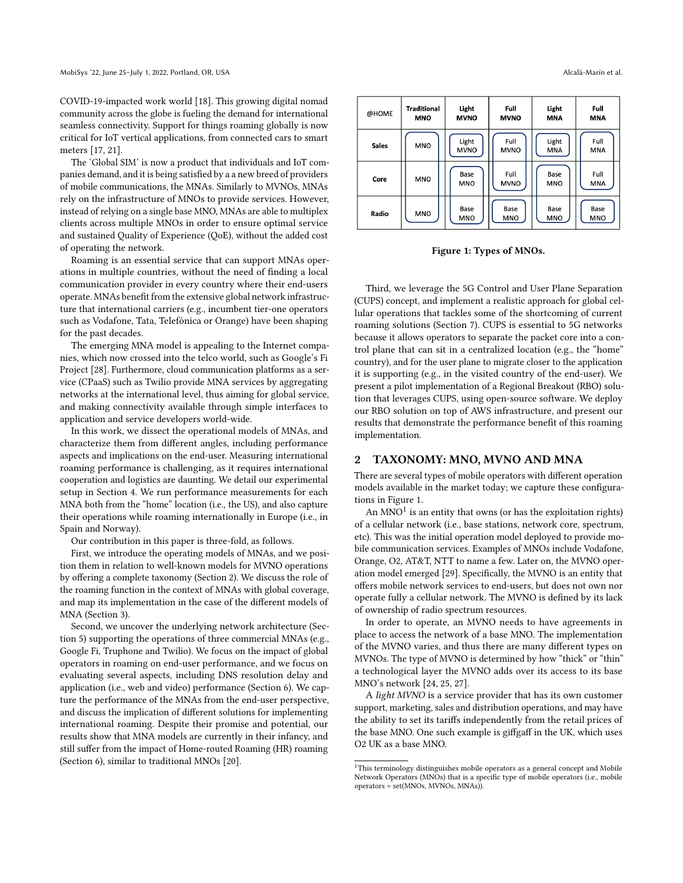COVID-19-impacted work world [\[18\]](#page-11-0). This growing digital nomad community across the globe is fueling the demand for international seamless connectivity. Support for things roaming globally is now critical for IoT vertical applications, from connected cars to smart meters [\[17,](#page-11-1) [21\]](#page-11-2).

The 'Global SIM' is now a product that individuals and IoT companies demand, and it is being satisfied by a a new breed of providers of mobile communications, the MNAs. Similarly to MVNOs, MNAs rely on the infrastructure of MNOs to provide services. However, instead of relying on a single base MNO, MNAs are able to multiplex clients across multiple MNOs in order to ensure optimal service and sustained Quality of Experience (QoE), without the added cost of operating the network.

Roaming is an essential service that can support MNAs operations in multiple countries, without the need of finding a local communication provider in every country where their end-users operate. MNAs benefit from the extensive global network infrastructure that international carriers (e.g., incumbent tier-one operators such as Vodafone, Tata, Telefónica or Orange) have been shaping for the past decades.

The emerging MNA model is appealing to the Internet companies, which now crossed into the telco world, such as Google's Fi Project [\[28\]](#page-12-3). Furthermore, cloud communication platforms as a service (CPaaS) such as Twilio provide MNA services by aggregating networks at the international level, thus aiming for global service, and making connectivity available through simple interfaces to application and service developers world-wide.

In this work, we dissect the operational models of MNAs, and characterize them from different angles, including performance aspects and implications on the end-user. Measuring international roaming performance is challenging, as it requires international cooperation and logistics are daunting. We detail our experimental setup in Section [4.](#page-3-0) We run performance measurements for each MNA both from the "home" location (i.e., the US), and also capture their operations while roaming internationally in Europe (i.e., in Spain and Norway).

Our contribution in this paper is three-fold, as follows.

First, we introduce the operating models of MNAs, and we position them in relation to well-known models for MVNO operations by offering a complete taxonomy (Section [2\)](#page-1-0). We discuss the role of the roaming function in the context of MNAs with global coverage, and map its implementation in the case of the different models of MNA (Section [3\)](#page-2-0).

Second, we uncover the underlying network architecture (Section [5\)](#page-4-0) supporting the operations of three commercial MNAs (e.g., Google Fi, Truphone and Twilio). We focus on the impact of global operators in roaming on end-user performance, and we focus on evaluating several aspects, including DNS resolution delay and application (i.e., web and video) performance (Section [6\)](#page-6-0). We capture the performance of the MNAs from the end-user perspective, and discuss the implication of different solutions for implementing international roaming. Despite their promise and potential, our results show that MNA models are currently in their infancy, and still suffer from the impact of Home-routed Roaming (HR) roaming (Section [6\)](#page-6-0), similar to traditional MNOs [\[20\]](#page-11-3).

**MVNO** 

Base

MNO

MNO

Base

**MNO** 

<span id="page-1-1"></span>@HOME

Sales

Core

Radio

MNO

Base

MNO

**MNO** 

Third, we leverage the 5G Control and User Plane Separation (CUPS) concept, and implement a realistic approach for global cellular operations that tackles some of the shortcoming of current roaming solutions (Section [7\)](#page-9-0). CUPS is essential to 5G networks because it allows operators to separate the packet core into a control plane that can sit in a centralized location (e.g., the "home" country), and for the user plane to migrate closer to the application it is supporting (e.g., in the visited country of the end-user). We present a pilot implementation of a Regional Breakout (RBO) solution that leverages CUPS, using open-source software. We deploy our RBO solution on top of AWS infrastructure, and present our results that demonstrate the performance benefit of this roaming implementation.

# <span id="page-1-0"></span>2 TAXONOMY: MNO, MVNO AND MNA

There are several types of mobile operators with different operation models available in the market today; we capture these configurations in Figure [1.](#page-1-1)

An MNO $^1$  $^1$  is an entity that owns (or has the exploitation rights) of a cellular network (i.e., base stations, network core, spectrum, etc). This was the initial operation model deployed to provide mobile communication services. Examples of MNOs include Vodafone, Orange, O2, AT&T, NTT to name a few. Later on, the MVNO operation model emerged [\[29\]](#page-12-4). Specifically, the MVNO is an entity that offers mobile network services to end-users, but does not own nor operate fully a cellular network. The MVNO is defined by its lack of ownership of radio spectrum resources.

In order to operate, an MVNO needs to have agreements in place to access the network of a base MNO. The implementation of the MVNO varies, and thus there are many different types on MVNOs. The type of MVNO is determined by how "thick" or "thin" a technological layer the MVNO adds over its access to its base MNO's network [\[24,](#page-12-1) [25,](#page-12-5) [27\]](#page-12-2).

A light MVNO is a service provider that has its own customer support, marketing, sales and distribution operations, and may have the ability to set its tariffs independently from the retail prices of the base MNO. One such example is giffgaff in the UK, which uses O2 UK as a base MNO.

MNA

Base

**MNO** 

<span id="page-1-2"></span> $1$ This terminology distinguishes mobile operators as a general concept and Mobile Network Operators (MNOs) that is a specific type of mobile operators (i.e., mobile operators = set(MNOs, MVNOs, MNAs)).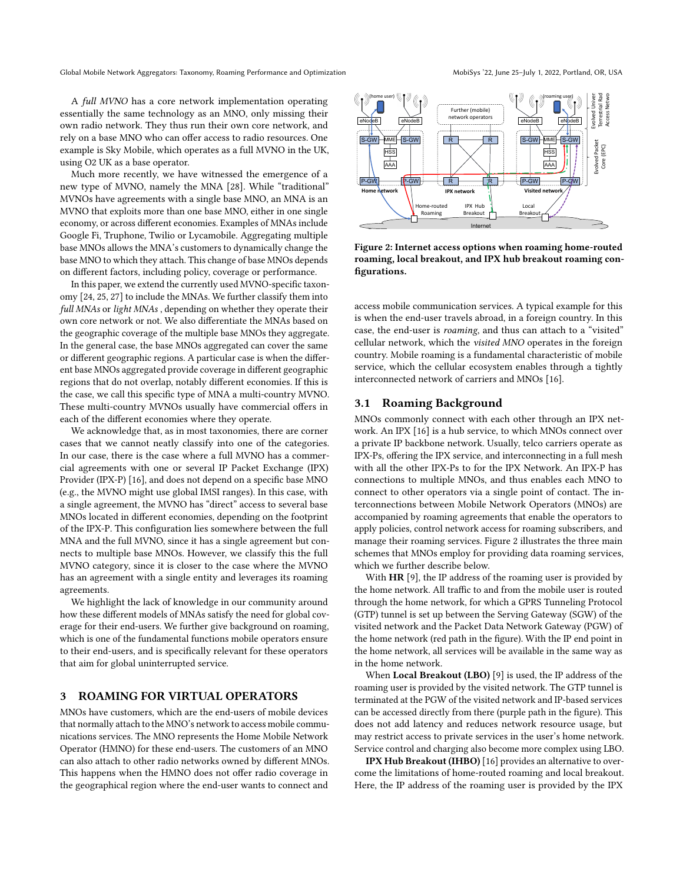Global Mobile Network Aggregators: Taxonomy, Roaming Performance and Optimization MobiSys '22, June 25-July 1, 2022, Portland, OR, USA

A full MVNO has a core network implementation operating essentially the same technology as an MNO, only missing their own radio network. They thus run their own core network, and rely on a base MNO who can offer access to radio resources. One example is Sky Mobile, which operates as a full MVNO in the UK, using O2 UK as a base operator.

Much more recently, we have witnessed the emergence of a new type of MVNO, namely the MNA [\[28\]](#page-12-3). While "traditional" MVNOs have agreements with a single base MNO, an MNA is an MVNO that exploits more than one base MNO, either in one single economy, or across different economies. Examples of MNAs include Google Fi, Truphone, Twilio or Lycamobile. Aggregating multiple base MNOs allows the MNA's customers to dynamically change the base MNO to which they attach. This change of base MNOs depends on different factors, including policy, coverage or performance.

In this paper, we extend the currently used MVNO-specific taxonomy [\[24,](#page-12-1) [25,](#page-12-5) [27\]](#page-12-2) to include the MNAs. We further classify them into full MNAs or light MNAs , depending on whether they operate their own core network or not. We also differentiate the MNAs based on the geographic coverage of the multiple base MNOs they aggregate. In the general case, the base MNOs aggregated can cover the same or different geographic regions. A particular case is when the different base MNOs aggregated provide coverage in different geographic regions that do not overlap, notably different economies. If this is the case, we call this specific type of MNA a multi-country MVNO. These multi-country MVNOs usually have commercial offers in each of the different economies where they operate.

We acknowledge that, as in most taxonomies, there are corner cases that we cannot neatly classify into one of the categories. In our case, there is the case where a full MVNO has a commercial agreements with one or several IP Packet Exchange (IPX) Provider (IPX-P) [\[16\]](#page-11-4), and does not depend on a specific base MNO (e.g., the MVNO might use global IMSI ranges). In this case, with a single agreement, the MVNO has "direct" access to several base MNOs located in different economies, depending on the footprint of the IPX-P. This configuration lies somewhere between the full MNA and the full MVNO, since it has a single agreement but connects to multiple base MNOs. However, we classify this the full MVNO category, since it is closer to the case where the MVNO has an agreement with a single entity and leverages its roaming agreements.

We highlight the lack of knowledge in our community around how these different models of MNAs satisfy the need for global coverage for their end-users. We further give background on roaming, which is one of the fundamental functions mobile operators ensure to their end-users, and is specifically relevant for these operators that aim for global uninterrupted service.

# <span id="page-2-0"></span>3 ROAMING FOR VIRTUAL OPERATORS

MNOs have customers, which are the end-users of mobile devices that normally attach to the MNO's network to access mobile communications services. The MNO represents the Home Mobile Network Operator (HMNO) for these end-users. The customers of an MNO can also attach to other radio networks owned by different MNOs. This happens when the HMNO does not offer radio coverage in the geographical region where the end-user wants to connect and

<span id="page-2-1"></span>

Figure 2: Internet access options when roaming home-routed roaming, local breakout, and IPX hub breakout roaming configurations.

access mobile communication services. A typical example for this is when the end-user travels abroad, in a foreign country. In this case, the end-user is roaming, and thus can attach to a "visited" cellular network, which the visited MNO operates in the foreign country. Mobile roaming is a fundamental characteristic of mobile service, which the cellular ecosystem enables through a tightly interconnected network of carriers and MNOs [\[16\]](#page-11-4).

# 3.1 Roaming Background

MNOs commonly connect with each other through an IPX network. An IPX [\[16\]](#page-11-4) is a hub service, to which MNOs connect over a private IP backbone network. Usually, telco carriers operate as IPX-Ps, offering the IPX service, and interconnecting in a full mesh with all the other IPX-Ps to for the IPX Network. An IPX-P has connections to multiple MNOs, and thus enables each MNO to connect to other operators via a single point of contact. The interconnections between Mobile Network Operators (MNOs) are accompanied by roaming agreements that enable the operators to apply policies, control network access for roaming subscribers, and manage their roaming services. Figure [2](#page-2-1) illustrates the three main schemes that MNOs employ for providing data roaming services, which we further describe below.

With HR [\[9\]](#page-11-5), the IP address of the roaming user is provided by the home network. All traffic to and from the mobile user is routed through the home network, for which a GPRS Tunneling Protocol (GTP) tunnel is set up between the Serving Gateway (SGW) of the visited network and the Packet Data Network Gateway (PGW) of the home network (red path in the figure). With the IP end point in the home network, all services will be available in the same way as in the home network.

When Local Breakout (LBO) [\[9\]](#page-11-5) is used, the IP address of the roaming user is provided by the visited network. The GTP tunnel is terminated at the PGW of the visited network and IP-based services can be accessed directly from there (purple path in the figure). This does not add latency and reduces network resource usage, but may restrict access to private services in the user's home network. Service control and charging also become more complex using LBO.

IPX Hub Breakout (IHBO) [\[16\]](#page-11-4) provides an alternative to overcome the limitations of home-routed roaming and local breakout. Here, the IP address of the roaming user is provided by the IPX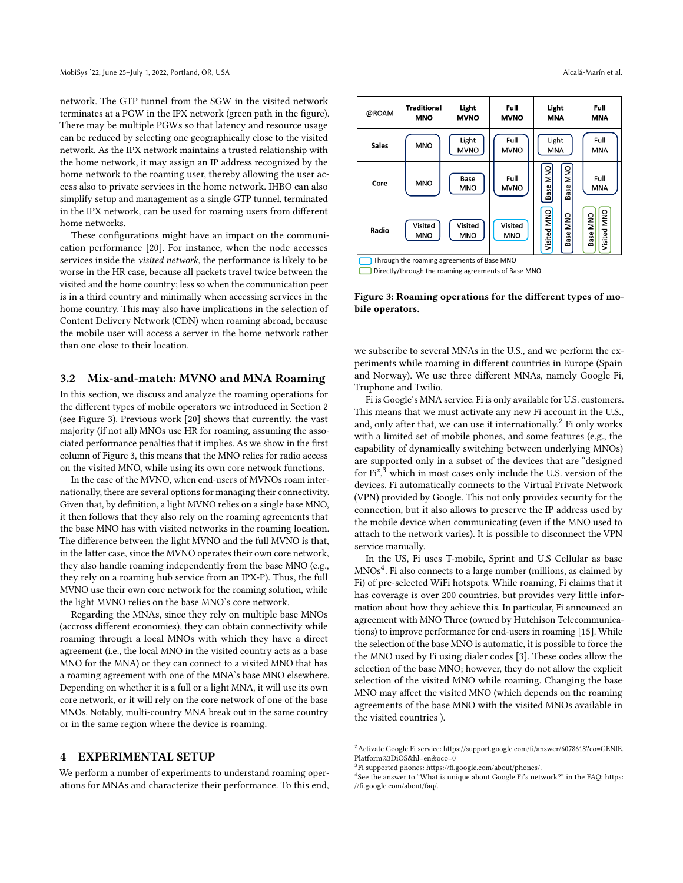network. The GTP tunnel from the SGW in the visited network terminates at a PGW in the IPX network (green path in the figure). There may be multiple PGWs so that latency and resource usage can be reduced by selecting one geographically close to the visited network. As the IPX network maintains a trusted relationship with the home network, it may assign an IP address recognized by the home network to the roaming user, thereby allowing the user access also to private services in the home network. IHBO can also simplify setup and management as a single GTP tunnel, terminated in the IPX network, can be used for roaming users from different home networks.

These configurations might have an impact on the communication performance [\[20\]](#page-11-3). For instance, when the node accesses services inside the visited network, the performance is likely to be worse in the HR case, because all packets travel twice between the visited and the home country; less so when the communication peer is in a third country and minimally when accessing services in the home country. This may also have implications in the selection of Content Delivery Network (CDN) when roaming abroad, because the mobile user will access a server in the home network rather than one close to their location.

## 3.2 Mix-and-match: MVNO and MNA Roaming

In this section, we discuss and analyze the roaming operations for the different types of mobile operators we introduced in Section [2](#page-1-0) (see Figure [3\)](#page-3-1). Previous work [\[20\]](#page-11-3) shows that currently, the vast majority (if not all) MNOs use HR for roaming, assuming the associated performance penalties that it implies. As we show in the first column of Figure [3,](#page-3-1) this means that the MNO relies for radio access on the visited MNO, while using its own core network functions.

In the case of the MVNO, when end-users of MVNOs roam internationally, there are several options for managing their connectivity. Given that, by definition, a light MVNO relies on a single base MNO, it then follows that they also rely on the roaming agreements that the base MNO has with visited networks in the roaming location. The difference between the light MVNO and the full MVNO is that, in the latter case, since the MVNO operates their own core network, they also handle roaming independently from the base MNO (e.g., they rely on a roaming hub service from an IPX-P). Thus, the full MVNO use their own core network for the roaming solution, while the light MVNO relies on the base MNO's core network.

Regarding the MNAs, since they rely on multiple base MNOs (accross different economies), they can obtain connectivity while roaming through a local MNOs with which they have a direct agreement (i.e., the local MNO in the visited country acts as a base MNO for the MNA) or they can connect to a visited MNO that has a roaming agreement with one of the MNA's base MNO elsewhere. Depending on whether it is a full or a light MNA, it will use its own core network, or it will rely on the core network of one of the base MNOs. Notably, multi-country MNA break out in the same country or in the same region where the device is roaming.

# <span id="page-3-0"></span>4 EXPERIMENTAL SETUP

We perform a number of experiments to understand roaming operations for MNAs and characterize their performance. To this end,

<span id="page-3-1"></span>

| @ROAM                                      | <b>Traditional</b><br><b>MNO</b> | Light<br><b>MVNO</b>  | Full<br><b>MVNO</b>   | Light<br><b>MNA</b>                      | Full<br><b>MNA</b>      |  |
|--------------------------------------------|----------------------------------|-----------------------|-----------------------|------------------------------------------|-------------------------|--|
| <b>Sales</b>                               | <b>MNO</b>                       | Light<br><b>MVNO</b>  | Full<br><b>MVNO</b>   | Light<br>MNA                             | Full<br><b>MNA</b>      |  |
| Core                                       | <b>MNO</b>                       | Base<br><b>MNO</b>    | Full<br><b>MVNO</b>   | <b>ONN</b><br><b>MNO</b><br>Base<br>Base | Full<br><b>MNA</b>      |  |
| Radio                                      | Visited<br><b>MNO</b>            | Visited<br><b>MNO</b> | Visited<br><b>MNO</b> | Visited MNO<br><b>DNN</b><br>Base        | Visited MNO<br>Base MNO |  |
| Through the roaming agreements of Base MNO |                                  |                       |                       |                                          |                         |  |

Directly/through the roaming agreements of Base MNO

Figure 3: Roaming operations for the different types of mobile operators.

we subscribe to several MNAs in the U.S., and we perform the experiments while roaming in different countries in Europe (Spain and Norway). We use three different MNAs, namely Google Fi, Truphone and Twilio.

Fi is Google's MNA service. Fi is only available for U.S. customers. This means that we must activate any new Fi account in the U.S., and, only after that, we can use it internationally.[2](#page-3-2) Fi only works with a limited set of mobile phones, and some features (e.g., the capability of dynamically switching between underlying MNOs) are supported only in a subset of the devices that are "designed for Fi",<sup>[3](#page-3-3)</sup> which in most cases only include the U.S. version of the devices. Fi automatically connects to the Virtual Private Network (VPN) provided by Google. This not only provides security for the connection, but it also allows to preserve the IP address used by the mobile device when communicating (even if the MNO used to attach to the network varies). It is possible to disconnect the VPN service manually.

In the US, Fi uses T-mobile, Sprint and U.S Cellular as base  $\mathrm{M N Os}^4.$  $\mathrm{M N Os}^4.$  $\mathrm{M N Os}^4.$  Fi also connects to a large number (millions, as claimed by Fi) of pre-selected WiFi hotspots. While roaming, Fi claims that it has coverage is over 200 countries, but provides very little information about how they achieve this. In particular, Fi announced an agreement with MNO Three (owned by Hutchison Telecommunications) to improve performance for end-users in roaming [\[15\]](#page-11-6). While the selection of the base MNO is automatic, it is possible to force the the MNO used by Fi using dialer codes [\[3\]](#page-11-7). These codes allow the selection of the base MNO; however, they do not allow the explicit selection of the visited MNO while roaming. Changing the base MNO may affect the visited MNO (which depends on the roaming agreements of the base MNO with the visited MNOs available in the visited countries ).

<span id="page-3-2"></span> $^2$  Activate Google Fi service: [https://support.google.com/fi/answer/6078618?co=GENIE.](https://support.google.com/fi/answer/6078618?co=GENIE.Platform%3DiOS&hl=en&oco=0) [Platform%3DiOS&hl=en&oco=0](https://support.google.com/fi/answer/6078618?co=GENIE.Platform%3DiOS&hl=en&oco=0)

<span id="page-3-3"></span><sup>3</sup> Fi supported phones: [https://fi.google.com/about/phones/.](https://fi.google.com/about/phones/)

<span id="page-3-4"></span><sup>&</sup>lt;sup>4</sup>See the answer to "What is unique about Google Fi's network?" in the FAQ: [https:](https://fi.google.com/about/faq/) [//fi.google.com/about/faq/.](https://fi.google.com/about/faq/)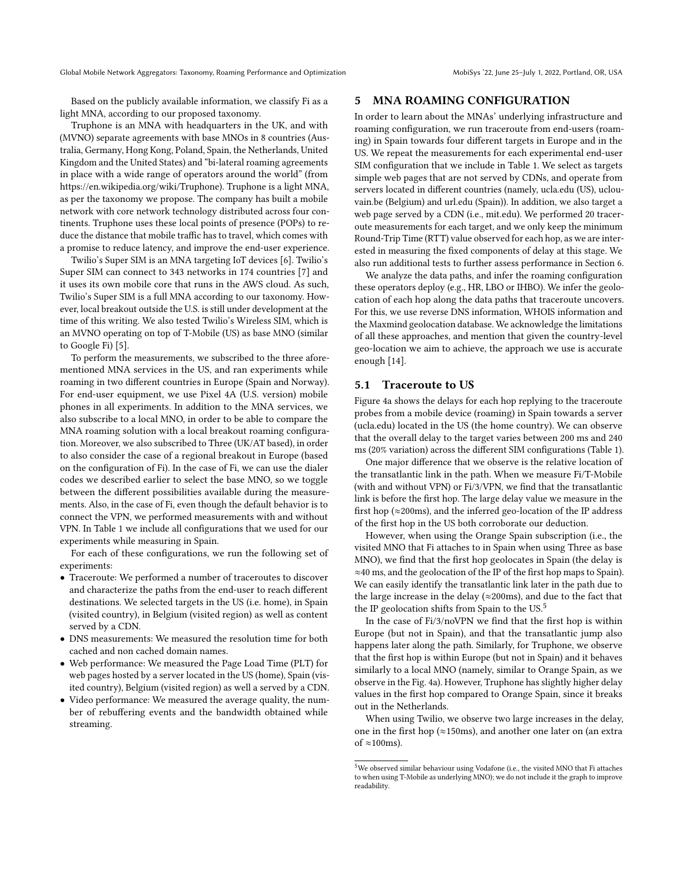Based on the publicly available information, we classify Fi as a light MNA, according to our proposed taxonomy.

Truphone is an MNA with headquarters in the UK, and with (MVNO) separate agreements with base MNOs in 8 countries (Australia, Germany, Hong Kong, Poland, Spain, the Netherlands, United Kingdom and the United States) and "bi-lateral roaming agreements in place with a wide range of operators around the world" (from [https://en.wikipedia.org/wiki/Truphone\)](https://en.wikipedia.org/wiki/Truphone). Truphone is a light MNA, as per the taxonomy we propose. The company has built a mobile network with core network technology distributed across four continents. Truphone uses these local points of presence (POPs) to reduce the distance that mobile traffic has to travel, which comes with a promise to reduce latency, and improve the end-user experience.

Twilio's Super SIM is an MNA targeting IoT devices [\[6\]](#page-11-8). Twilio's Super SIM can connect to 343 networks in 174 countries [\[7\]](#page-11-9) and it uses its own mobile core that runs in the AWS cloud. As such, Twilio's Super SIM is a full MNA according to our taxonomy. However, local breakout outside the U.S. is still under development at the time of this writing. We also tested Twilio's Wireless SIM, which is an MVNO operating on top of T-Mobile (US) as base MNO (similar to Google Fi) [\[5\]](#page-11-10).

To perform the measurements, we subscribed to the three aforementioned MNA services in the US, and ran experiments while roaming in two different countries in Europe (Spain and Norway). For end-user equipment, we use Pixel 4A (U.S. version) mobile phones in all experiments. In addition to the MNA services, we also subscribe to a local MNO, in order to be able to compare the MNA roaming solution with a local breakout roaming configuration. Moreover, we also subscribed to Three (UK/AT based), in order to also consider the case of a regional breakout in Europe (based on the configuration of Fi). In the case of Fi, we can use the dialer codes we described earlier to select the base MNO, so we toggle between the different possibilities available during the measurements. Also, in the case of Fi, even though the default behavior is to connect the VPN, we performed measurements with and without VPN. In Table [1](#page-5-0) we include all configurations that we used for our experiments while measuring in Spain.

For each of these configurations, we run the following set of experiments:

- Traceroute: We performed a number of traceroutes to discover and characterize the paths from the end-user to reach different destinations. We selected targets in the US (i.e. home), in Spain (visited country), in Belgium (visited region) as well as content served by a CDN.
- DNS measurements: We measured the resolution time for both cached and non cached domain names.
- Web performance: We measured the Page Load Time (PLT) for web pages hosted by a server located in the US (home), Spain (visited country), Belgium (visited region) as well a served by a CDN.
- Video performance: We measured the average quality, the number of rebuffering events and the bandwidth obtained while streaming.

# <span id="page-4-0"></span>5 MNA ROAMING CONFIGURATION

In order to learn about the MNAs' underlying infrastructure and roaming configuration, we run traceroute from end-users (roaming) in Spain towards four different targets in Europe and in the US. We repeat the measurements for each experimental end-user SIM configuration that we include in Table [1.](#page-5-0) We select as targets simple web pages that are not served by CDNs, and operate from servers located in different countries (namely, ucla.edu (US), uclouvain.be (Belgium) and url.edu (Spain)). In addition, we also target a web page served by a CDN (i.e., mit.edu). We performed 20 traceroute measurements for each target, and we only keep the minimum Round-Trip Time (RTT) value observed for each hop, as we are interested in measuring the fixed components of delay at this stage. We also run additional tests to further assess performance in Section [6.](#page-6-0)

We analyze the data paths, and infer the roaming configuration these operators deploy (e.g., HR, LBO or IHBO). We infer the geolocation of each hop along the data paths that traceroute uncovers. For this, we use reverse DNS information, WHOIS information and the Maxmind geolocation database. We acknowledge the limitations of all these approaches, and mention that given the country-level geo-location we aim to achieve, the approach we use is accurate enough [\[14\]](#page-11-11).

#### 5.1 Traceroute to US

Figure [4a](#page-5-1) shows the delays for each hop replying to the traceroute probes from a mobile device (roaming) in Spain towards a server (ucla.edu) located in the US (the home country). We can observe that the overall delay to the target varies between 200 ms and 240 ms (20% variation) across the different SIM configurations (Table [1\)](#page-5-0).

One major difference that we observe is the relative location of the transatlantic link in the path. When we measure Fi/T-Mobile (with and without VPN) or Fi/3/VPN, we find that the transatlantic link is before the first hop. The large delay value we measure in the first hop ( $\approx$ 200ms), and the inferred geo-location of the IP address of the first hop in the US both corroborate our deduction.

However, when using the Orange Spain subscription (i.e., the visited MNO that Fi attaches to in Spain when using Three as base MNO), we find that the first hop geolocates in Spain (the delay is ≈40 ms, and the geolocation of the IP of the first hop maps to Spain). We can easily identify the transatlantic link later in the path due to the large increase in the delay ( $\approx$ 200ms), and due to the fact that the IP geolocation shifts from Spain to the US. $5$ 

In the case of Fi/3/noVPN we find that the first hop is within Europe (but not in Spain), and that the transatlantic jump also happens later along the path. Similarly, for Truphone, we observe that the first hop is within Europe (but not in Spain) and it behaves similarly to a local MNO (namely, similar to Orange Spain, as we observe in the Fig. [4a\)](#page-5-1). However, Truphone has slightly higher delay values in the first hop compared to Orange Spain, since it breaks out in the Netherlands.

When using Twilio, we observe two large increases in the delay, one in the first hop ( $\approx$ 150ms), and another one later on (an extra of  $\approx$ 100ms).

<span id="page-4-1"></span> $^{5}$  We observed similar behaviour using Vodafone (i.e., the visited MNO that Fi attaches to when using T-Mobile as underlying MNO); we do not include it the graph to improve readability.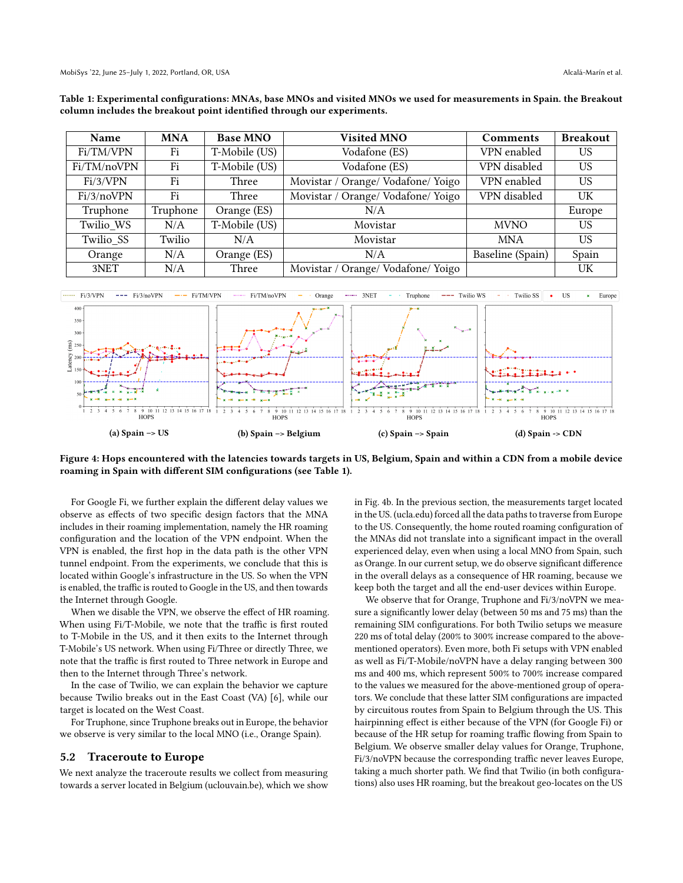<span id="page-5-0"></span>

| Table 1: Experimental configurations: MNAs, base MNOs and visited MNOs we used for measurements in Spain. the Breakout |  |
|------------------------------------------------------------------------------------------------------------------------|--|
| column includes the breakout point identified through our experiments.                                                 |  |

| Name        | <b>MNA</b> | <b>Base MNO</b> | <b>Visited MNO</b>                 | <b>Comments</b>  | <b>Breakout</b> |
|-------------|------------|-----------------|------------------------------------|------------------|-----------------|
| Fi/TM/VPN   | Fi         | T-Mobile (US)   | Vodafone (ES)                      | VPN enabled      | <b>US</b>       |
| Fi/TM/noVPN | Fi         | T-Mobile (US)   | Vodafone (ES)                      | VPN disabled     | US              |
| Fi/3/VPN    | Fi         | Three           | Movistar / Orange/ Vodafone/ Yoigo | VPN enabled      | <b>US</b>       |
| Fi/3/noVPN  | Fi         | Three           | Movistar / Orange/ Vodafone/ Yoigo | VPN disabled     | UK              |
| Truphone    | Truphone   | Orange (ES)     | N/A                                |                  | Europe          |
| Twilio WS   | N/A        | T-Mobile (US)   | Movistar                           | <b>MVNO</b>      | <b>US</b>       |
| Twilio SS   | Twilio     | N/A             | Movistar                           | <b>MNA</b>       | US              |
| Orange      | N/A        | Orange (ES)     | N/A                                | Baseline (Spain) | Spain           |
| 3NET        | N/A        | Three           | Movistar / Orange/ Vodafone/ Yoigo |                  | UK              |

<span id="page-5-1"></span>

Figure 4: Hops encountered with the latencies towards targets in US, Belgium, Spain and within a CDN from a mobile device roaming in Spain with different SIM configurations (see Table [1\)](#page-5-0).

For Google Fi, we further explain the different delay values we observe as effects of two specific design factors that the MNA includes in their roaming implementation, namely the HR roaming configuration and the location of the VPN endpoint. When the VPN is enabled, the first hop in the data path is the other VPN tunnel endpoint. From the experiments, we conclude that this is located within Google's infrastructure in the US. So when the VPN is enabled, the traffic is routed to Google in the US, and then towards the Internet through Google.

When we disable the VPN, we observe the effect of HR roaming. When using Fi/T-Mobile, we note that the traffic is first routed to T-Mobile in the US, and it then exits to the Internet through T-Mobile's US network. When using Fi/Three or directly Three, we note that the traffic is first routed to Three network in Europe and then to the Internet through Three's network.

In the case of Twilio, we can explain the behavior we capture because Twilio breaks out in the East Coast (VA) [\[6\]](#page-11-8), while our target is located on the West Coast.

For Truphone, since Truphone breaks out in Europe, the behavior we observe is very similar to the local MNO (i.e., Orange Spain).

#### 5.2 Traceroute to Europe

We next analyze the traceroute results we collect from measuring towards a server located in Belgium (uclouvain.be), which we show in Fig. [4b.](#page-5-1) In the previous section, the measurements target located in the US. (ucla.edu) forced all the data paths to traverse from Europe to the US. Consequently, the home routed roaming configuration of the MNAs did not translate into a significant impact in the overall experienced delay, even when using a local MNO from Spain, such as Orange. In our current setup, we do observe significant difference in the overall delays as a consequence of HR roaming, because we keep both the target and all the end-user devices within Europe.

We observe that for Orange, Truphone and Fi/3/noVPN we measure a significantly lower delay (between 50 ms and 75 ms) than the remaining SIM configurations. For both Twilio setups we measure 220 ms of total delay (200% to 300% increase compared to the abovementioned operators). Even more, both Fi setups with VPN enabled as well as Fi/T-Mobile/noVPN have a delay ranging between 300 ms and 400 ms, which represent 500% to 700% increase compared to the values we measured for the above-mentioned group of operators. We conclude that these latter SIM configurations are impacted by circuitous routes from Spain to Belgium through the US. This hairpinning effect is either because of the VPN (for Google Fi) or because of the HR setup for roaming traffic flowing from Spain to Belgium. We observe smaller delay values for Orange, Truphone, Fi/3/noVPN because the corresponding traffic never leaves Europe, taking a much shorter path. We find that Twilio (in both configurations) also uses HR roaming, but the breakout geo-locates on the US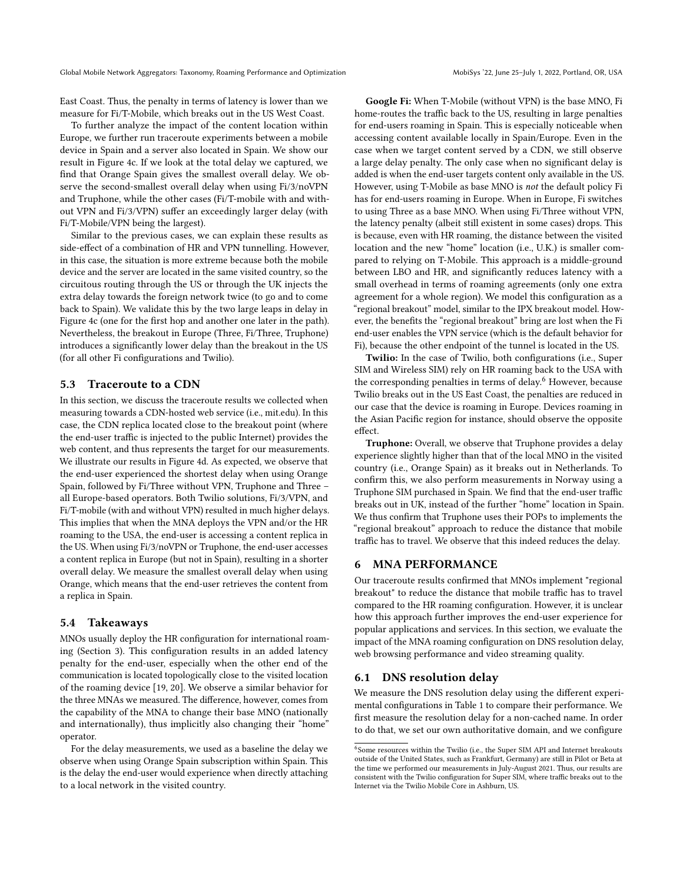East Coast. Thus, the penalty in terms of latency is lower than we measure for Fi/T-Mobile, which breaks out in the US West Coast.

To further analyze the impact of the content location within Europe, we further run traceroute experiments between a mobile device in Spain and a server also located in Spain. We show our result in Figure [4c.](#page-5-1) If we look at the total delay we captured, we find that Orange Spain gives the smallest overall delay. We observe the second-smallest overall delay when using Fi/3/noVPN and Truphone, while the other cases (Fi/T-mobile with and without VPN and Fi/3/VPN) suffer an exceedingly larger delay (with Fi/T-Mobile/VPN being the largest).

Similar to the previous cases, we can explain these results as side-effect of a combination of HR and VPN tunnelling. However, in this case, the situation is more extreme because both the mobile device and the server are located in the same visited country, so the circuitous routing through the US or through the UK injects the extra delay towards the foreign network twice (to go and to come back to Spain). We validate this by the two large leaps in delay in Figure [4c](#page-5-1) (one for the first hop and another one later in the path). Nevertheless, the breakout in Europe (Three, Fi/Three, Truphone) introduces a significantly lower delay than the breakout in the US (for all other Fi configurations and Twilio).

## 5.3 Traceroute to a CDN

In this section, we discuss the traceroute results we collected when measuring towards a CDN-hosted web service (i.e., mit.edu). In this case, the CDN replica located close to the breakout point (where the end-user traffic is injected to the public Internet) provides the web content, and thus represents the target for our measurements. We illustrate our results in Figure [4d.](#page-5-1) As expected, we observe that the end-user experienced the shortest delay when using Orange Spain, followed by Fi/Three without VPN, Truphone and Three – all Europe-based operators. Both Twilio solutions, Fi/3/VPN, and Fi/T-mobile (with and without VPN) resulted in much higher delays. This implies that when the MNA deploys the VPN and/or the HR roaming to the USA, the end-user is accessing a content replica in the US. When using Fi/3/noVPN or Truphone, the end-user accesses a content replica in Europe (but not in Spain), resulting in a shorter overall delay. We measure the smallest overall delay when using Orange, which means that the end-user retrieves the content from a replica in Spain.

#### 5.4 Takeaways

MNOs usually deploy the HR configuration for international roaming (Section [3\)](#page-2-0). This configuration results in an added latency penalty for the end-user, especially when the other end of the communication is located topologically close to the visited location of the roaming device [\[19,](#page-11-12) [20\]](#page-11-3). We observe a similar behavior for the three MNAs we measured. The difference, however, comes from the capability of the MNA to change their base MNO (nationally and internationally), thus implicitly also changing their "home" operator.

For the delay measurements, we used as a baseline the delay we observe when using Orange Spain subscription within Spain. This is the delay the end-user would experience when directly attaching to a local network in the visited country.

Google Fi: When T-Mobile (without VPN) is the base MNO, Fi home-routes the traffic back to the US, resulting in large penalties for end-users roaming in Spain. This is especially noticeable when accessing content available locally in Spain/Europe. Even in the case when we target content served by a CDN, we still observe a large delay penalty. The only case when no significant delay is added is when the end-user targets content only available in the US. However, using T-Mobile as base MNO is not the default policy Fi has for end-users roaming in Europe. When in Europe, Fi switches to using Three as a base MNO. When using Fi/Three without VPN, the latency penalty (albeit still existent in some cases) drops. This is because, even with HR roaming, the distance between the visited location and the new "home" location (i.e., U.K.) is smaller compared to relying on T-Mobile. This approach is a middle-ground between LBO and HR, and significantly reduces latency with a small overhead in terms of roaming agreements (only one extra agreement for a whole region). We model this configuration as a "regional breakout" model, similar to the IPX breakout model. However, the benefits the "regional breakout" bring are lost when the Fi end-user enables the VPN service (which is the default behavior for Fi), because the other endpoint of the tunnel is located in the US.

Twilio: In the case of Twilio, both configurations (i.e., Super SIM and Wireless SIM) rely on HR roaming back to the USA with the corresponding penalties in terms of delay.<sup>[6](#page-6-1)</sup> However, because Twilio breaks out in the US East Coast, the penalties are reduced in our case that the device is roaming in Europe. Devices roaming in the Asian Pacific region for instance, should observe the opposite effect.

Truphone: Overall, we observe that Truphone provides a delay experience slightly higher than that of the local MNO in the visited country (i.e., Orange Spain) as it breaks out in Netherlands. To confirm this, we also perform measurements in Norway using a Truphone SIM purchased in Spain. We find that the end-user traffic breaks out in UK, instead of the further "home" location in Spain. We thus confirm that Truphone uses their POPs to implements the "regional breakout" approach to reduce the distance that mobile traffic has to travel. We observe that this indeed reduces the delay.

# <span id="page-6-0"></span>6 MNA PERFORMANCE

Our traceroute results confirmed that MNOs implement "regional breakout" to reduce the distance that mobile traffic has to travel compared to the HR roaming configuration. However, it is unclear how this approach further improves the end-user experience for popular applications and services. In this section, we evaluate the impact of the MNA roaming configuration on DNS resolution delay, web browsing performance and video streaming quality.

# 6.1 DNS resolution delay

We measure the DNS resolution delay using the different experimental configurations in Table [1](#page-5-0) to compare their performance. We first measure the resolution delay for a non-cached name. In order to do that, we set our own authoritative domain, and we configure

<span id="page-6-1"></span><sup>&</sup>lt;sup>6</sup>Some resources within the Twilio (i.e., the Super SIM API and Internet breakouts outside of the United States, such as Frankfurt, Germany) are still in Pilot or Beta at the time we performed our measurements in July-August 2021. Thus, our results are consistent with the Twilio configuration for Super SIM, where traffic breaks out to the Internet via the Twilio Mobile Core in Ashburn, US.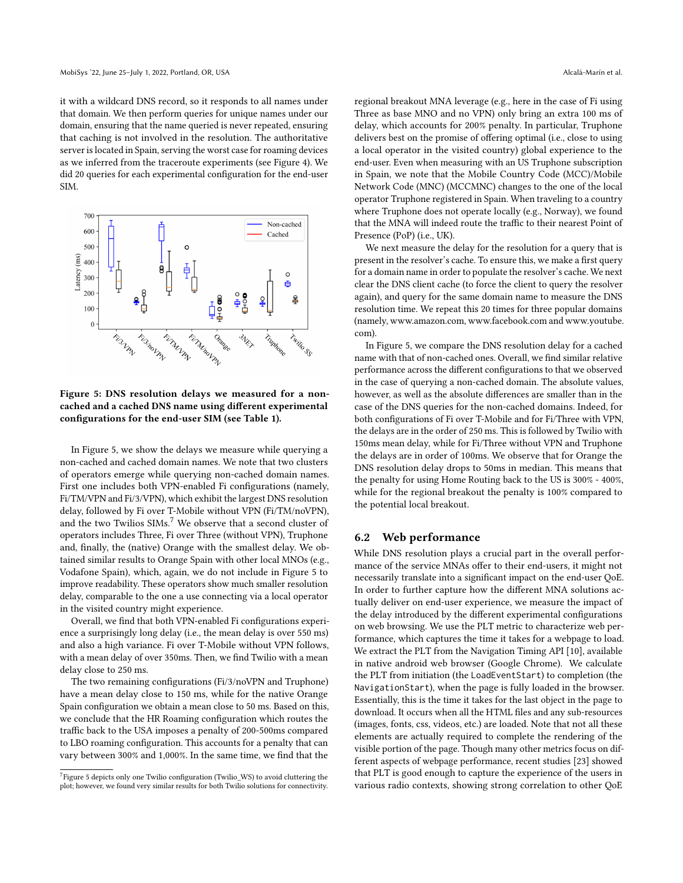it with a wildcard DNS record, so it responds to all names under that domain. We then perform queries for unique names under our domain, ensuring that the name queried is never repeated, ensuring that caching is not involved in the resolution. The authoritative server is located in Spain, serving the worst case for roaming devices as we inferred from the traceroute experiments (see Figure [4\)](#page-5-1). We did 20 queries for each experimental configuration for the end-user SIM.

<span id="page-7-0"></span>

Figure 5: DNS resolution delays we measured for a noncached and a cached DNS name using different experimental configurations for the end-user SIM (see Table [1\)](#page-5-0).

In Figure [5,](#page-7-0) we show the delays we measure while querying a non-cached and cached domain names. We note that two clusters of operators emerge while querying non-cached domain names. First one includes both VPN-enabled Fi configurations (namely, Fi/TM/VPN and Fi/3/VPN), which exhibit the largest DNS resolution delay, followed by Fi over T-Mobile without VPN (Fi/TM/noVPN), and the two Twilios SIMs.<sup>[7](#page-7-1)</sup> We observe that a second cluster of operators includes Three, Fi over Three (without VPN), Truphone and, finally, the (native) Orange with the smallest delay. We obtained similar results to Orange Spain with other local MNOs (e.g., Vodafone Spain), which, again, we do not include in Figure [5](#page-7-0) to improve readability. These operators show much smaller resolution delay, comparable to the one a use connecting via a local operator in the visited country might experience.

Overall, we find that both VPN-enabled Fi configurations experience a surprisingly long delay (i.e., the mean delay is over 550 ms) and also a high variance. Fi over T-Mobile without VPN follows, with a mean delay of over 350ms. Then, we find Twilio with a mean delay close to 250 ms.

The two remaining configurations (Fi/3/noVPN and Truphone) have a mean delay close to 150 ms, while for the native Orange Spain configuration we obtain a mean close to 50 ms. Based on this, we conclude that the HR Roaming configuration which routes the traffic back to the USA imposes a penalty of 200-500ms compared to LBO roaming configuration. This accounts for a penalty that can vary between 300% and 1,000%. In the same time, we find that the regional breakout MNA leverage (e.g., here in the case of Fi using Three as base MNO and no VPN) only bring an extra 100 ms of delay, which accounts for 200% penalty. In particular, Truphone delivers best on the promise of offering optimal (i.e., close to using a local operator in the visited country) global experience to the end-user. Even when measuring with an US Truphone subscription in Spain, we note that the Mobile Country Code (MCC)/Mobile Network Code (MNC) (MCCMNC) changes to the one of the local operator Truphone registered in Spain. When traveling to a country where Truphone does not operate locally (e.g., Norway), we found that the MNA will indeed route the traffic to their nearest Point of Presence (PoP) (i.e., UK).

We next measure the delay for the resolution for a query that is present in the resolver's cache. To ensure this, we make a first query for a domain name in order to populate the resolver's cache. We next clear the DNS client cache (to force the client to query the resolver again), and query for the same domain name to measure the DNS resolution time. We repeat this 20 times for three popular domains (namely, [www.amazon.com,](www.amazon.com)<www.facebook.com> and [www.youtube.](www.youtube.com) [com\)](www.youtube.com).

In Figure [5,](#page-7-0) we compare the DNS resolution delay for a cached name with that of non-cached ones. Overall, we find similar relative performance across the different configurations to that we observed in the case of querying a non-cached domain. The absolute values, however, as well as the absolute differences are smaller than in the case of the DNS queries for the non-cached domains. Indeed, for both configurations of Fi over T-Mobile and for Fi/Three with VPN, the delays are in the order of 250 ms. This is followed by Twilio with 150ms mean delay, while for Fi/Three without VPN and Truphone the delays are in order of 100ms. We observe that for Orange the DNS resolution delay drops to 50ms in median. This means that the penalty for using Home Routing back to the US is 300% - 400%, while for the regional breakout the penalty is 100% compared to the potential local breakout.

#### <span id="page-7-2"></span>6.2 Web performance

While DNS resolution plays a crucial part in the overall performance of the service MNAs offer to their end-users, it might not necessarily translate into a significant impact on the end-user QoE. In order to further capture how the different MNA solutions actually deliver on end-user experience, we measure the impact of the delay introduced by the different experimental configurations on web browsing. We use the PLT metric to characterize web performance, which captures the time it takes for a webpage to load. We extract the PLT from the Navigation Timing API [\[10\]](#page-11-13), available in native android web browser (Google Chrome). We calculate the PLT from initiation (the LoadEventStart) to completion (the NavigationStart), when the page is fully loaded in the browser. Essentially, this is the time it takes for the last object in the page to download. It occurs when all the HTML files and any sub-resources (images, fonts, css, videos, etc.) are loaded. Note that not all these elements are actually required to complete the rendering of the visible portion of the page. Though many other metrics focus on different aspects of webpage performance, recent studies [\[23\]](#page-12-6) showed that PLT is good enough to capture the experience of the users in various radio contexts, showing strong correlation to other QoE

<span id="page-7-1"></span><sup>&</sup>lt;sup>7</sup> Figure [5](#page-7-0) depicts only one Twilio configuration (Twilio\_WS) to avoid cluttering the plot; however, we found very similar results for both Twilio solutions for connectivity.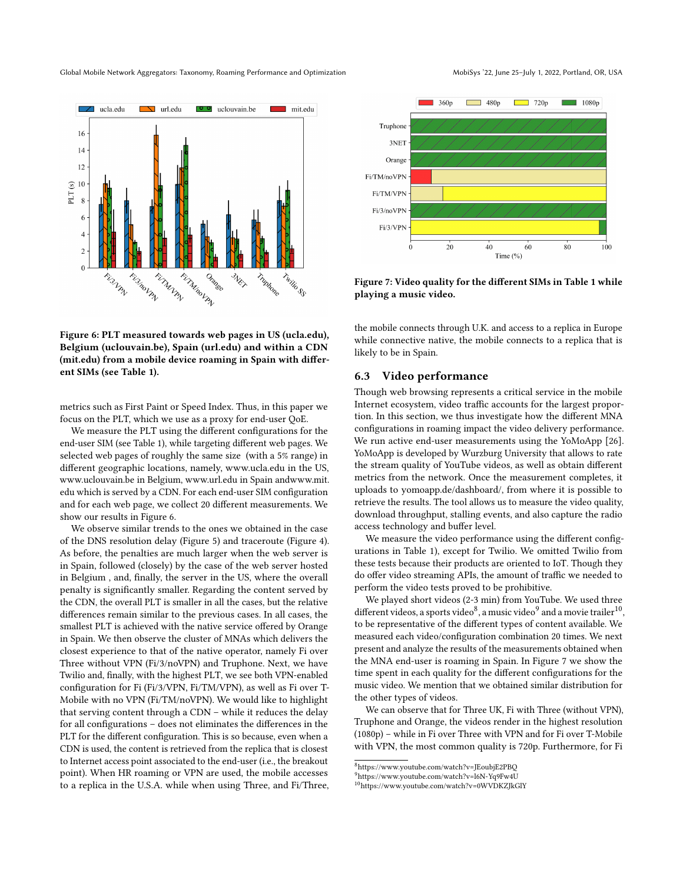Global Mobile Network Aggregators: Taxonomy, Roaming Performance and Optimization MobiSys '22, June 25-July 1, 2022, Portland, OR, USA

<span id="page-8-0"></span>

Figure 6: PLT measured towards web pages in US (ucla.edu), Belgium (uclouvain.be), Spain (url.edu) and within a CDN (mit.edu) from a mobile device roaming in Spain with different SIMs (see Table [1\)](#page-5-0).

metrics such as First Paint or Speed Index. Thus, in this paper we focus on the PLT, which we use as a proxy for end-user QoE.

We measure the PLT using the different configurations for the end-user SIM (see Table [1\)](#page-5-0), while targeting different web pages. We selected web pages of roughly the same size (with a 5% range) in different geographic locations, namely,<www.ucla.edu> in the US, <www.uclouvain.be> in Belgium,<www.url.edu> in Spain an[dwww.mit.](www.mit.edu) [edu](www.mit.edu) which is served by a CDN. For each end-user SIM configuration and for each web page, we collect 20 different measurements. We show our results in Figure [6.](#page-8-0)

We observe similar trends to the ones we obtained in the case of the DNS resolution delay (Figure [5\)](#page-7-0) and traceroute (Figure [4\)](#page-5-1). As before, the penalties are much larger when the web server is in Spain, followed (closely) by the case of the web server hosted in Belgium , and, finally, the server in the US, where the overall penalty is significantly smaller. Regarding the content served by the CDN, the overall PLT is smaller in all the cases, but the relative differences remain similar to the previous cases. In all cases, the smallest PLT is achieved with the native service offered by Orange in Spain. We then observe the cluster of MNAs which delivers the closest experience to that of the native operator, namely Fi over Three without VPN (Fi/3/noVPN) and Truphone. Next, we have Twilio and, finally, with the highest PLT, we see both VPN-enabled configuration for Fi (Fi/3/VPN, Fi/TM/VPN), as well as Fi over T-Mobile with no VPN (Fi/TM/noVPN). We would like to highlight that serving content through a CDN – while it reduces the delay for all configurations – does not eliminates the differences in the PLT for the different configuration. This is so because, even when a CDN is used, the content is retrieved from the replica that is closest to Internet access point associated to the end-user (i.e., the breakout point). When HR roaming or VPN are used, the mobile accesses to a replica in the U.S.A. while when using Three, and Fi/Three,

<span id="page-8-4"></span>

Figure 7: Video quality for the different SIMs in Table [1](#page-5-0) while playing a music video.

the mobile connects through U.K. and access to a replica in Europe while connective native, the mobile connects to a replica that is likely to be in Spain.

#### 6.3 Video performance

Though web browsing represents a critical service in the mobile Internet ecosystem, video traffic accounts for the largest proportion. In this section, we thus investigate how the different MNA configurations in roaming impact the video delivery performance. We run active end-user measurements using the YoMoApp [\[26\]](#page-12-7). YoMoApp is developed by Wurzburg University that allows to rate the stream quality of YouTube videos, as well as obtain different metrics from the network. Once the measurement completes, it uploads to [yomoapp.de/dashboard/,](yomoapp.de/dashboard/) from where it is possible to retrieve the results. The tool allows us to measure the video quality, download throughput, stalling events, and also capture the radio access technology and buffer level.

We measure the video performance using the different configurations in Table [1\)](#page-5-0), except for Twilio. We omitted Twilio from these tests because their products are oriented to IoT. Though they do offer video streaming APIs, the amount of traffic we needed to perform the video tests proved to be prohibitive.

We played short videos (2-3 min) from YouTube. We used three different videos, a sports video $^8$  $^8$ , a music video $^9$  $^9$  and a movie trailer $^{10}$  $^{10}$  $^{10}$ , to be representative of the different types of content available. We measured each video/configuration combination 20 times. We next present and analyze the results of the measurements obtained when the MNA end-user is roaming in Spain. In Figure [7](#page-8-4) we show the time spent in each quality for the different configurations for the music video. We mention that we obtained similar distribution for the other types of videos.

We can observe that for Three UK, Fi with Three (without VPN), Truphone and Orange, the videos render in the highest resolution (1080p) – while in Fi over Three with VPN and for Fi over T-Mobile with VPN, the most common quality is 720p. Furthermore, for Fi

<span id="page-8-1"></span><sup>8</sup><https://www.youtube.com/watch?v=JEoubjE2PBQ>

<span id="page-8-2"></span><sup>9</sup><https://www.youtube.com/watch?v=l6N-Yq9Fw4U>

<span id="page-8-3"></span><sup>10</sup><https://www.youtube.com/watch?v=0WVDKZJkGlY>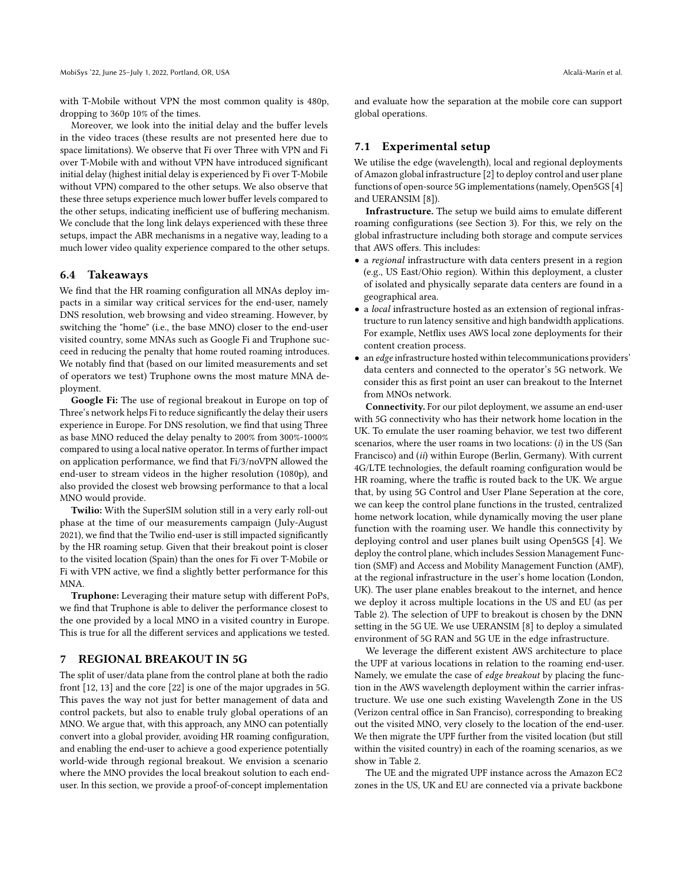with T-Mobile without VPN the most common quality is 480p, dropping to 360p 10% of the times.

Moreover, we look into the initial delay and the buffer levels in the video traces (these results are not presented here due to space limitations). We observe that Fi over Three with VPN and Fi over T-Mobile with and without VPN have introduced significant initial delay (highest initial delay is experienced by Fi over T-Mobile without VPN) compared to the other setups. We also observe that these three setups experience much lower buffer levels compared to the other setups, indicating inefficient use of buffering mechanism. We conclude that the long link delays experienced with these three setups, impact the ABR mechanisms in a negative way, leading to a much lower video quality experience compared to the other setups.

## 6.4 Takeaways

We find that the HR roaming configuration all MNAs deploy impacts in a similar way critical services for the end-user, namely DNS resolution, web browsing and video streaming. However, by switching the "home" (i.e., the base MNO) closer to the end-user visited country, some MNAs such as Google Fi and Truphone succeed in reducing the penalty that home routed roaming introduces. We notably find that (based on our limited measurements and set of operators we test) Truphone owns the most mature MNA deployment.

Google Fi: The use of regional breakout in Europe on top of Three's network helps Fi to reduce significantly the delay their users experience in Europe. For DNS resolution, we find that using Three as base MNO reduced the delay penalty to 200% from 300%-1000% compared to using a local native operator. In terms of further impact on application performance, we find that Fi/3/noVPN allowed the end-user to stream videos in the higher resolution (1080p), and also provided the closest web browsing performance to that a local MNO would provide.

Twilio: With the SuperSIM solution still in a very early roll-out phase at the time of our measurements campaign (July-August 2021), we find that the Twilio end-user is still impacted significantly by the HR roaming setup. Given that their breakout point is closer to the visited location (Spain) than the ones for Fi over T-Mobile or Fi with VPN active, we find a slightly better performance for this MNA.

Truphone: Leveraging their mature setup with different PoPs, we find that Truphone is able to deliver the performance closest to the one provided by a local MNO in a visited country in Europe. This is true for all the different services and applications we tested.

## <span id="page-9-0"></span>7 REGIONAL BREAKOUT IN 5G

The split of user/data plane from the control plane at both the radio front [\[12,](#page-11-14) [13\]](#page-11-15) and the core [\[22\]](#page-12-8) is one of the major upgrades in 5G. This paves the way not just for better management of data and control packets, but also to enable truly global operations of an MNO. We argue that, with this approach, any MNO can potentially convert into a global provider, avoiding HR roaming configuration, and enabling the end-user to achieve a good experience potentially world-wide through regional breakout. We envision a scenario where the MNO provides the local breakout solution to each enduser. In this section, we provide a proof-of-concept implementation

and evaluate how the separation at the mobile core can support global operations.

# 7.1 Experimental setup

We utilise the edge (wavelength), local and regional deployments of Amazon global infrastructure [\[2\]](#page-11-16) to deploy control and user plane functions of open-source 5G implementations (namely, Open5GS [\[4\]](#page-11-17) and UERANSIM [\[8\]](#page-11-18)).

Infrastructure. The setup we build aims to emulate different roaming configurations (see Section [3\)](#page-2-0). For this, we rely on the global infrastructure including both storage and compute services that AWS offers. This includes:

- a regional infrastructure with data centers present in a region (e.g., US East/Ohio region). Within this deployment, a cluster of isolated and physically separate data centers are found in a geographical area.
- a local infrastructure hosted as an extension of regional infrastructure to run latency sensitive and high bandwidth applications. For example, Netflix uses AWS local zone deployments for their content creation process.
- an edge infrastructure hosted within telecommunications providers' data centers and connected to the operator's 5G network. We consider this as first point an user can breakout to the Internet from MNOs network.

Connectivity. For our pilot deployment, we assume an end-user with 5G connectivity who has their network home location in the UK. To emulate the user roaming behavior, we test two different scenarios, where the user roams in two locations:  $(i)$  in the US (San Francisco) and (ii) within Europe (Berlin, Germany). With current 4G/LTE technologies, the default roaming configuration would be HR roaming, where the traffic is routed back to the UK. We argue that, by using 5G Control and User Plane Seperation at the core, we can keep the control plane functions in the trusted, centralized home network location, while dynamically moving the user plane function with the roaming user. We handle this connectivity by deploying control and user planes built using Open5GS [\[4\]](#page-11-17). We deploy the control plane, which includes Session Management Function (SMF) and Access and Mobility Management Function (AMF), at the regional infrastructure in the user's home location (London, UK). The user plane enables breakout to the internet, and hence we deploy it across multiple locations in the US and EU (as per Table [2\)](#page-10-0). The selection of UPF to breakout is chosen by the DNN setting in the 5G UE. We use UERANSIM [\[8\]](#page-11-18) to deploy a simulated environment of 5G RAN and 5G UE in the edge infrastructure.

We leverage the different existent AWS architecture to place the UPF at various locations in relation to the roaming end-user. Namely, we emulate the case of edge breakout by placing the function in the AWS wavelength deployment within the carrier infrastructure. We use one such existing Wavelength Zone in the US (Verizon central office in San Franciso), corresponding to breaking out the visited MNO, very closely to the location of the end-user. We then migrate the UPF further from the visited location (but still within the visited country) in each of the roaming scenarios, as we show in Table [2.](#page-10-0)

The UE and the migrated UPF instance across the Amazon EC2 zones in the US, UK and EU are connected via a private backbone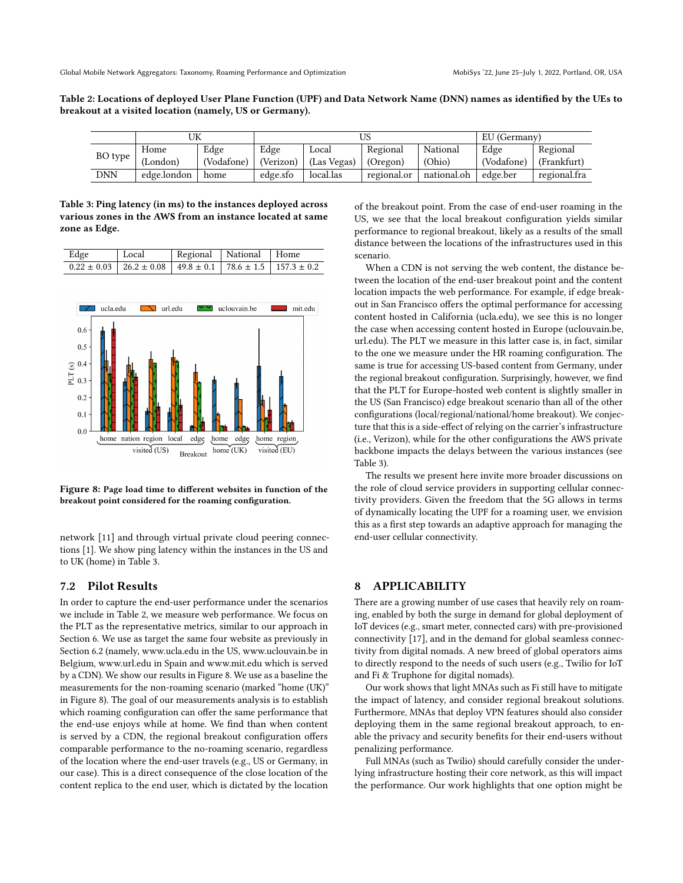<span id="page-10-0"></span>Table 2: Locations of deployed User Plane Function (UPF) and Data Network Name (DNN) names as identified by the UEs to breakout at a visited location (namely, US or Germany).

|         |             |            |           |             |             |             | EU (Germany) |              |
|---------|-------------|------------|-----------|-------------|-------------|-------------|--------------|--------------|
|         | Home        | Edge       | Edge      | Local       | Regional    | National    | Edge         | Regional     |
| BO type | (London)    | 'Vodafone) | (Verizon) | (Las Vegas) | (Oregon)    | (Ohio)      | (Vodafone)   | (Frankfurt)  |
| DNN     | edge.london | home       | edge.sfo  | local.las   | regional.or | national.oh | edge.ber     | regional.fra |

<span id="page-10-1"></span>Table 3: Ping latency (in ms) to the instances deployed across various zones in the AWS from an instance located at same zone as Edge.

| Edge | Local                                                                                 | Regional   National   Home |  |
|------|---------------------------------------------------------------------------------------|----------------------------|--|
|      | $0.22 \pm 0.03$   26.2 $\pm$ 0.08   49.8 $\pm$ 0.1   78.6 $\pm$ 1.5   157.3 $\pm$ 0.2 |                            |  |

<span id="page-10-2"></span>

Figure 8: Page load time to different websites in function of the breakout point considered for the roaming configuration.

network [\[11\]](#page-11-19) and through virtual private cloud peering connections [\[1\]](#page-11-20). We show ping latency within the instances in the US and to UK (home) in Table [3.](#page-10-1)

## 7.2 Pilot Results

In order to capture the end-user performance under the scenarios we include in Table [2,](#page-10-0) we measure web performance. We focus on the PLT as the representative metrics, similar to our approach in Section [6.](#page-6-0) We use as target the same four website as previously in Section [6.2](#page-7-2) (namely, www.ucla.edu in the US, www.uclouvain.be in Belgium, www.url.edu in Spain and www.mit.edu which is served by a CDN). We show our results in Figure [8.](#page-10-2) We use as a baseline the measurements for the non-roaming scenario (marked "home (UK)" in Figure [8\)](#page-10-2). The goal of our measurements analysis is to establish which roaming configuration can offer the same performance that the end-use enjoys while at home. We find than when content is served by a CDN, the regional breakout configuration offers comparable performance to the no-roaming scenario, regardless of the location where the end-user travels (e.g., US or Germany, in our case). This is a direct consequence of the close location of the content replica to the end user, which is dictated by the location of the breakout point. From the case of end-user roaming in the US, we see that the local breakout configuration yields similar performance to regional breakout, likely as a results of the small distance between the locations of the infrastructures used in this scenario.

When a CDN is not serving the web content, the distance between the location of the end-user breakout point and the content location impacts the web performance. For example, if edge breakout in San Francisco offers the optimal performance for accessing content hosted in California (ucla.edu), we see this is no longer the case when accessing content hosted in Europe (uclouvain.be, url.edu). The PLT we measure in this latter case is, in fact, similar to the one we measure under the HR roaming configuration. The same is true for accessing US-based content from Germany, under the regional breakout configuration. Surprisingly, however, we find that the PLT for Europe-hosted web content is slightly smaller in the US (San Francisco) edge breakout scenario than all of the other configurations (local/regional/national/home breakout). We conjecture that this is a side-effect of relying on the carrier's infrastructure (i.e., Verizon), while for the other configurations the AWS private backbone impacts the delays between the various instances (see Table [3\)](#page-10-1).

The results we present here invite more broader discussions on the role of cloud service providers in supporting cellular connectivity providers. Given the freedom that the 5G allows in terms of dynamically locating the UPF for a roaming user, we envision this as a first step towards an adaptive approach for managing the end-user cellular connectivity.

## 8 APPLICABILITY

There are a growing number of use cases that heavily rely on roaming, enabled by both the surge in demand for global deployment of IoT devices (e.g., smart meter, connected cars) with pre-provisioned connectivity [\[17\]](#page-11-1), and in the demand for global seamless connectivity from digital nomads. A new breed of global operators aims to directly respond to the needs of such users (e.g., Twilio for IoT and Fi & Truphone for digital nomads).

Our work shows that light MNAs such as Fi still have to mitigate the impact of latency, and consider regional breakout solutions. Furthermore, MNAs that deploy VPN features should also consider deploying them in the same regional breakout approach, to enable the privacy and security benefits for their end-users without penalizing performance.

Full MNAs (such as Twilio) should carefully consider the underlying infrastructure hosting their core network, as this will impact the performance. Our work highlights that one option might be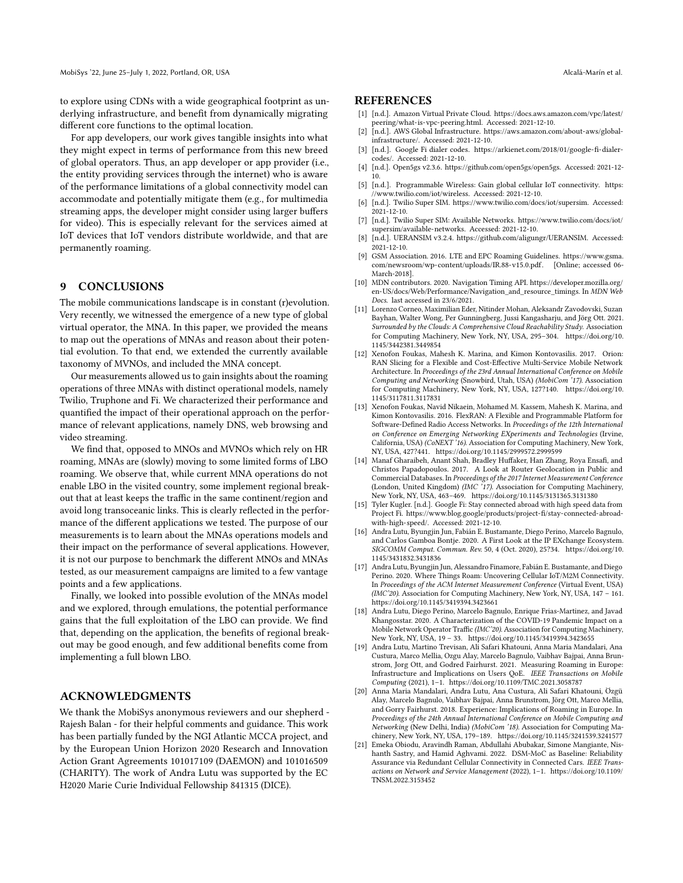to explore using CDNs with a wide geographical footprint as underlying infrastructure, and benefit from dynamically migrating different core functions to the optimal location.

For app developers, our work gives tangible insights into what they might expect in terms of performance from this new breed of global operators. Thus, an app developer or app provider (i.e., the entity providing services through the internet) who is aware of the performance limitations of a global connectivity model can accommodate and potentially mitigate them (e.g., for multimedia streaming apps, the developer might consider using larger buffers for video). This is especially relevant for the services aimed at IoT devices that IoT vendors distribute worldwide, and that are permanently roaming.

# 9 CONCLUSIONS

The mobile communications landscape is in constant (r)evolution. Very recently, we witnessed the emergence of a new type of global virtual operator, the MNA. In this paper, we provided the means to map out the operations of MNAs and reason about their potential evolution. To that end, we extended the currently available taxonomy of MVNOs, and included the MNA concept.

Our measurements allowed us to gain insights about the roaming operations of three MNAs with distinct operational models, namely Twilio, Truphone and Fi. We characterized their performance and quantified the impact of their operational approach on the performance of relevant applications, namely DNS, web browsing and video streaming.

We find that, opposed to MNOs and MVNOs which rely on HR roaming, MNAs are (slowly) moving to some limited forms of LBO roaming. We observe that, while current MNA operations do not enable LBO in the visited country, some implement regional breakout that at least keeps the traffic in the same continent/region and avoid long transoceanic links. This is clearly reflected in the performance of the different applications we tested. The purpose of our measurements is to learn about the MNAs operations models and their impact on the performance of several applications. However, it is not our purpose to benchmark the different MNOs and MNAs tested, as our measurement campaigns are limited to a few vantage points and a few applications.

Finally, we looked into possible evolution of the MNAs model and we explored, through emulations, the potential performance gains that the full exploitation of the LBO can provide. We find that, depending on the application, the benefits of regional breakout may be good enough, and few additional benefits come from implementing a full blown LBO.

# ACKNOWLEDGMENTS

We thank the MobiSys anonymous reviewers and our shepherd - Rajesh Balan - for their helpful comments and guidance. This work has been partially funded by the NGI Atlantic MCCA project, and by the European Union Horizon 2020 Research and Innovation Action Grant Agreements 101017109 (DAEMON) and 101016509 (CHARITY). The work of Andra Lutu was supported by the EC H2020 Marie Curie Individual Fellowship 841315 (DICE).

#### **REFERENCES**

- <span id="page-11-20"></span>[1] [n.d.]. Amazon Virtual Private Cloud. [https://docs.aws.amazon.com/vpc/latest/](https://docs.aws.amazon.com/vpc/latest/peering/what-is-vpc-peering.html) [peering/what-is-vpc-peering.html.](https://docs.aws.amazon.com/vpc/latest/peering/what-is-vpc-peering.html) Accessed: 2021-12-10.
- <span id="page-11-16"></span>[2] [n.d.]. AWS Global Infrastructure. [https://aws.amazon.com/about-aws/global](https://aws.amazon.com/about-aws/global-infrastructure/)[infrastructure/.](https://aws.amazon.com/about-aws/global-infrastructure/) Accessed: 2021-12-10.
- <span id="page-11-7"></span>[n.d.]. Google Fi dialer codes. [https://arkienet.com/2018/01/google-fi-dialer](https://arkienet.com/2018/01/google-fi-dialer-codes/)[codes/.](https://arkienet.com/2018/01/google-fi-dialer-codes/) Accessed: 2021-12-10.
- <span id="page-11-17"></span>[4] [n.d.]. Open5gs v2.3.6. [https://github.com/open5gs/open5gs.](https://github.com/open5gs/open5gs) Accessed: 2021-12- 10. [5] [n.d.]. Programmable Wireless: Gain global cellular IoT connectivity. [https:](https://www.twilio.com/iot/wireless)
- <span id="page-11-10"></span>[//www.twilio.com/iot/wireless.](https://www.twilio.com/iot/wireless) Accessed: 2021-12-10.
- <span id="page-11-8"></span>[6] [n.d.]. Twilio Super SIM. [https://www.twilio.com/docs/iot/supersim.](https://www.twilio.com/docs/iot/supersim) Accessed: 2021-12-10.
- <span id="page-11-9"></span>[7] [n.d.]. Twilio Super SIM: Available Networks. [https://www.twilio.com/docs/iot/](https://www.twilio.com/docs/iot/supersim/available-networks) [supersim/available-networks.](https://www.twilio.com/docs/iot/supersim/available-networks) Accessed: 2021-12-10.
- <span id="page-11-18"></span>[n.d.]. UERANSIM v3.2.4. [https://github.com/aligungr/UERANSIM.](https://github.com/aligungr/UERANSIM) Accessed: 2021-12-10.
- <span id="page-11-5"></span>GSM Association. 2016. LTE and EPC Roaming Guidelines. [https://www.gsma.](https://www.gsma.com/newsroom/wp-content/uploads/IR.88-v15.0.pdf) [com/newsroom/wp-content/uploads/IR.88-v15.0.pdf.](https://www.gsma.com/newsroom/wp-content/uploads/IR.88-v15.0.pdf) [Online; accessed 06- March-2018].
- <span id="page-11-13"></span>[10] MDN contributors. 2020. Navigation Timing API. [https://developer.mozilla.org/](https://developer.mozilla.org/en-US/docs/Web/Performance/Navigation_and_resource_timings) [en-US/docs/Web/Performance/Navigation\\_and\\_resource\\_timings.](https://developer.mozilla.org/en-US/docs/Web/Performance/Navigation_and_resource_timings) In MDN Web Docs. last accessed in 23/6/2021.
- <span id="page-11-19"></span>[11] Lorenzo Corneo, Maximilian Eder, Nitinder Mohan, Aleksandr Zavodovski, Suzan Bayhan, Walter Wong, Per Gunningberg, Jussi Kangasharju, and Jörg Ott. 2021. Surrounded by the Clouds: A Comprehensive Cloud Reachability Study. Association for Computing Machinery, New York, NY, USA, 295–304. [https://doi.org/10.](https://doi.org/10.1145/3442381.3449854) [1145/3442381.3449854](https://doi.org/10.1145/3442381.3449854)
- <span id="page-11-14"></span>[12] Xenofon Foukas, Mahesh K. Marina, and Kimon Kontovasilis. 2017. Orion: RAN Slicing for a Flexible and Cost-Effective Multi-Service Mobile Network Architecture. In Proceedings of the 23rd Annual International Conference on Mobile Computing and Networking (Snowbird, Utah, USA) (MobiCom '17). Association for Computing Machinery, New York, NY, USA, 127?140. [https://doi.org/10.](https://doi.org/10.1145/3117811.3117831) [1145/3117811.3117831](https://doi.org/10.1145/3117811.3117831)
- <span id="page-11-15"></span>[13] Xenofon Foukas, Navid Nikaein, Mohamed M. Kassem, Mahesh K. Marina, and Kimon Kontovasilis. 2016. FlexRAN: A Flexible and Programmable Platform for Software-Defined Radio Access Networks. In Proceedings of the 12th International on Conference on Emerging Networking EXperiments and Technologies (Irvine, California, USA) (CoNEXT '16). Association for Computing Machinery, New York, NY, USA, 427?441.<https://doi.org/10.1145/2999572.2999599>
- <span id="page-11-11"></span>[14] Manaf Gharaibeh, Anant Shah, Bradley Huffaker, Han Zhang, Roya Ensafi, and Christos Papadopoulos. 2017. A Look at Router Geolocation in Public and Commercial Databases. In Proceedings of the 2017 Internet Measurement Conference (London, United Kingdom) (IMC '17). Association for Computing Machinery, New York, NY, USA, 463–469.<https://doi.org/10.1145/3131365.3131380>
- <span id="page-11-6"></span>[15] Tyler Kugler. [n.d.]. Google Fi: Stay connected abroad with high speed data from Project Fi. [https://www.blog.google/products/project-fi/stay-connected-abroad](https://www.blog.google/products/project-fi/stay-connected-abroad-with-high-speed/)[with-high-speed/.](https://www.blog.google/products/project-fi/stay-connected-abroad-with-high-speed/) Accessed: 2021-12-10.
- <span id="page-11-4"></span>[16] Andra Lutu, Byungjin Jun, Fabián E. Bustamante, Diego Perino, Marcelo Bagnulo, and Carlos Gamboa Bontje. 2020. A First Look at the IP EXchange Ecosystem. SIGCOMM Comput. Commun. Rev. 50, 4 (Oct. 2020), 25?34. [https://doi.org/10.](https://doi.org/10.1145/3431832.3431836) [1145/3431832.3431836](https://doi.org/10.1145/3431832.3431836)
- <span id="page-11-1"></span>[17] Andra Lutu, Byungjin Jun, Alessandro Finamore, Fabián E. Bustamante, and Diego Perino. 2020. Where Things Roam: Uncovering Cellular IoT/M2M Connectivity. In Proceedings of the ACM Internet Measurement Conference (Virtual Event, USA) (IMC'20). Association for Computing Machinery, New York, NY, USA, 147 – 161. <https://doi.org/10.1145/3419394.3423661>
- <span id="page-11-0"></span>[18] Andra Lutu, Diego Perino, Marcelo Bagnulo, Enrique Frias-Martinez, and Javad Khangosstar. 2020. A Characterization of the COVID-19 Pandemic Impact on a Mobile Network Operator Traffic (IMC'20). Association for Computing Machinery, New York, NY, USA, 19 – 33.<https://doi.org/10.1145/3419394.3423655>
- <span id="page-11-12"></span>[19] Andra Lutu, Martino Trevisan, Ali Safari Khatouni, Anna Maria Mandalari, Ana Custura, Marco Mellia, Ozgu Alay, Marcelo Bagnulo, Vaibhav Bajpai, Anna Brunstrom, Jorg Ott, and Godred Fairhurst. 2021. Measuring Roaming in Europe: Infrastructure and Implications on Users QoE. IEEE Transactions on Mobile Computing (2021), 1–1.<https://doi.org/10.1109/TMC.2021.3058787>
- <span id="page-11-3"></span>[20] Anna Maria Mandalari, Andra Lutu, Ana Custura, Ali Safari Khatouni, Özgü Alay, Marcelo Bagnulo, Vaibhav Bajpai, Anna Brunstrom, Jörg Ott, Marco Mellia, and Gorry Fairhurst. 2018. Experience: Implications of Roaming in Europe. In Proceedings of the 24th Annual International Conference on Mobile Computing and Networking (New Delhi, India) (MobiCom '18). Association for Computing Machinery, New York, NY, USA, 179–189.<https://doi.org/10.1145/3241539.3241577>
- <span id="page-11-2"></span>[21] Emeka Obiodu, Aravindh Raman, Abdullahi Abubakar, Simone Mangiante, Nishanth Sastry, and Hamid Aghvami. 2022. DSM-MoC as Baseline: Reliability Assurance via Redundant Cellular Connectivity in Connected Cars. IEEE Transactions on Network and Service Management (2022), 1–1. [https://doi.org/10.1109/](https://doi.org/10.1109/TNSM.2022.3153452) [TNSM.2022.3153452](https://doi.org/10.1109/TNSM.2022.3153452)